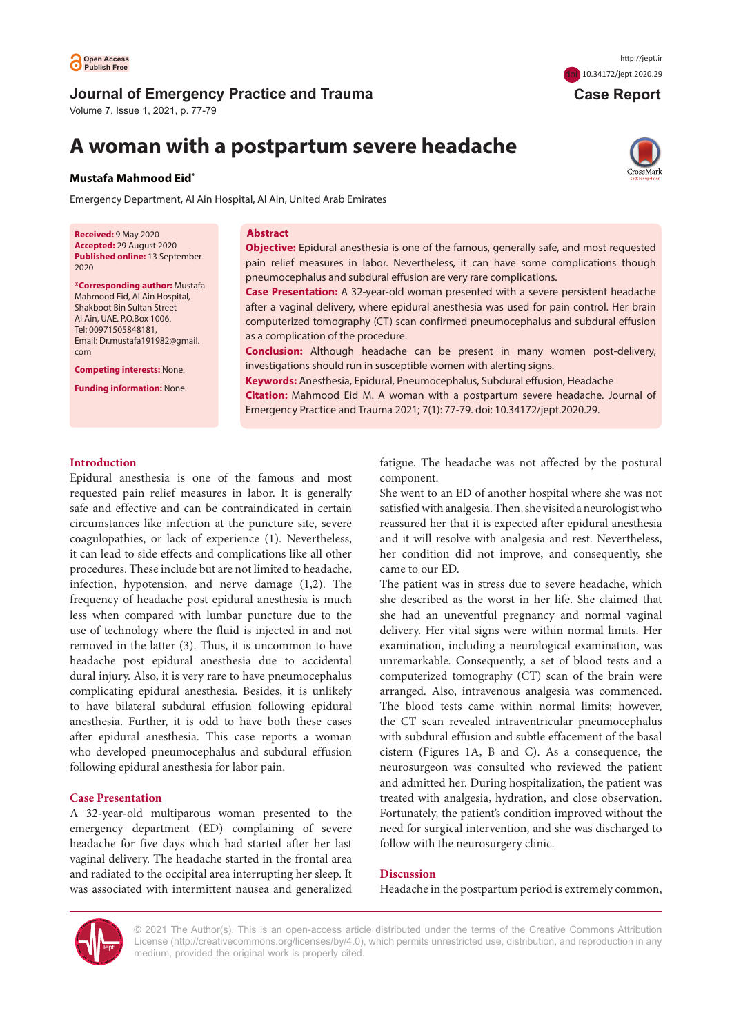

## **Journal of Emergency Practice and Trauma**

Volume 7, Issue 1, 2021, p. 77-79

# **A woman with a postpartum severe headache**

### **Mustafa Mahmood Eid\***

Emergency Department, Al Ain Hospital, Al Ain, United Arab Emirates

**Received:** 9 May 2020 **Accepted:** 29 August 2020 **Published online:** 13 September 2020

**\*Corresponding author:** Mustafa Mahmood Eid, Al Ain Hospital, Shakboot Bin Sultan Street Al Ain, UAE. P.O.Box 1006. Tel: 00971505848181, Email: Dr.mustafa191982@gmail. com

**Competing interests:** None.

**Funding information:** None.

#### **Abstract**

**Objective:** Epidural anesthesia is one of the famous, generally safe, and most requested pain relief measures in labor. Nevertheless, it can have some complications though pneumocephalus and subdural effusion are very rare complications.

**Case Presentation:** A 32-year-old woman presented with a severe persistent headache after a vaginal delivery, where epidural anesthesia was used for pain control. Her brain computerized tomography (CT) scan confirmed pneumocephalus and subdural effusion as a complication of the procedure.

**Conclusion:** Although headache can be present in many women post-delivery, investigations should run in susceptible women with alerting signs.

**Keywords:** Anesthesia, Epidural, Pneumocephalus, Subdural effusion, Headache

**Citation:** Mahmood Eid M. A woman with a postpartum severe headache. Journal of Emergency Practice and Trauma 2021; 7(1): 77-79. doi: 10.34172/jept.2020.29.

## **Introduction**

Epidural anesthesia is one of the famous and most requested pain relief measures in labor. It is generally safe and effective and can be contraindicated in certain circumstances like infection at the puncture site, severe coagulopathies, or lack of experience (1). Nevertheless, it can lead to side effects and complications like all other procedures. These include but are not limited to headache, infection, hypotension, and nerve damage (1,2). The frequency of headache post epidural anesthesia is much less when compared with lumbar puncture due to the use of technology where the fluid is injected in and not removed in the latter (3). Thus, it is uncommon to have headache post epidural anesthesia due to accidental dural injury. Also, it is very rare to have pneumocephalus complicating epidural anesthesia. Besides, it is unlikely to have bilateral subdural effusion following epidural anesthesia. Further, it is odd to have both these cases after epidural anesthesia. This case reports a woman who developed pneumocephalus and subdural effusion following epidural anesthesia for labor pain.

## **Case Presentation**

A 32-year-old multiparous woman presented to the emergency department (ED) complaining of severe headache for five days which had started after her last vaginal delivery. The headache started in the frontal area and radiated to the occipital area interrupting her sleep. It was associated with intermittent nausea and generalized fatigue. The headache was not affected by the postural component.

She went to an ED of another hospital where she was not satisfied with analgesia. Then, she visited a neurologist who reassured her that it is expected after epidural anesthesia and it will resolve with analgesia and rest. Nevertheless, her condition did not improve, and consequently, she came to our ED.

The patient was in stress due to severe headache, which she described as the worst in her life. She claimed that she had an uneventful pregnancy and normal vaginal delivery. Her vital signs were within normal limits. Her examination, including a neurological examination, was unremarkable. Consequently, a set of blood tests and a computerized tomography (CT) scan of the brain were arranged. Also, intravenous analgesia was commenced. The blood tests came within normal limits; however, the CT scan revealed intraventricular pneumocephalus with subdural effusion and subtle effacement of the basal cistern (Figures 1A, B and C). As a consequence, the neurosurgeon was consulted who reviewed the patient and admitted her. During hospitalization, the patient was treated with analgesia, hydration, and close observation. Fortunately, the patient's condition improved without the need for surgical intervention, and she was discharged to follow with the neurosurgery clinic.

#### **Discussion**

Headache in the postpartum period is extremely common,



© 2021 The Author(s). This is an open-access article distributed under the terms of the Creative Commons Attribution License [\(http://creativecommons.org/licenses/by/4.0](http://creativecommons.org/licenses/by/4.0)), which permits unrestricted use, distribution, and reproduction in any medium, provided the original work is properly cited.



 **Case Report**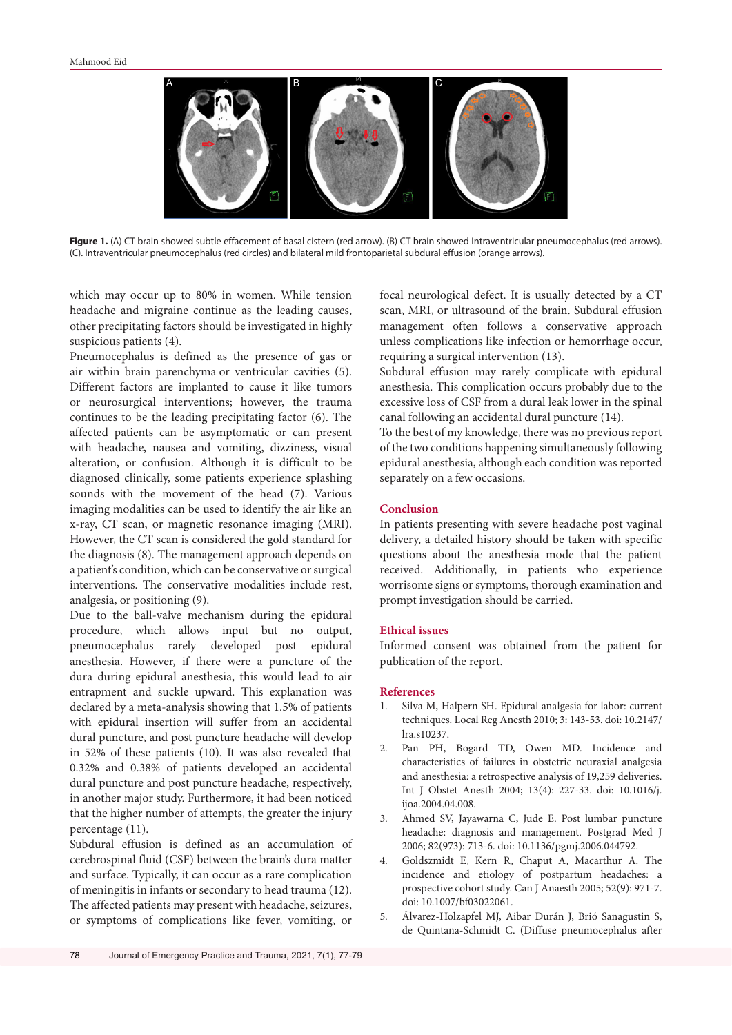

Figure 1. (A) CT brain showed subtle effacement of basal cistern (red arrow). (B) CT brain showed Intraventricular pneumocephalus (red arrows). (C). Intraventricular pneumocephalus (red circles) and bilateral mild frontoparietal subdural effusion (orange arrows).

which may occur up to 80% in women. While tension headache and migraine continue as the leading causes, other precipitating factors should be investigated in highly suspicious patients (4).

Pneumocephalus is defined as the presence of gas or air within brain parenchyma or ventricular cavities (5). Different factors are implanted to cause it like tumors or neurosurgical interventions; however, the trauma continues to be the leading precipitating factor (6). The affected patients can be asymptomatic or can present with headache, nausea and vomiting, dizziness, visual alteration, or confusion. Although it is difficult to be diagnosed clinically, some patients experience splashing sounds with the movement of the head (7). Various imaging modalities can be used to identify the air like an x-ray, CT scan, or magnetic resonance imaging (MRI). However, the CT scan is considered the gold standard for the diagnosis (8). The management approach depends on a patient's condition, which can be conservative or surgical interventions. The conservative modalities include rest, analgesia, or positioning (9).

Due to the ball-valve mechanism during the epidural procedure, which allows input but no output, pneumocephalus rarely developed post epidural anesthesia. However, if there were a puncture of the dura during epidural anesthesia, this would lead to air entrapment and suckle upward. This explanation was declared by a meta-analysis showing that 1.5% of patients with epidural insertion will suffer from an accidental dural puncture, and post puncture headache will develop in 52% of these patients (10). It was also revealed that 0.32% and 0.38% of patients developed an accidental dural puncture and post puncture headache, respectively, in another major study. Furthermore, it had been noticed that the higher number of attempts, the greater the injury percentage (11).

Subdural effusion is defined as an accumulation of cerebrospinal fluid (CSF) between the brain's dura matter and surface. Typically, it can occur as a rare complication of meningitis in infants or secondary to head trauma (12). The affected patients may present with headache, seizures, or symptoms of complications like fever, vomiting, or

focal neurological defect. It is usually detected by a CT scan, MRI, or ultrasound of the brain. Subdural effusion management often follows a conservative approach unless complications like infection or hemorrhage occur, requiring a surgical intervention (13).

Subdural effusion may rarely complicate with epidural anesthesia. This complication occurs probably due to the excessive loss of CSF from a dural leak lower in the spinal canal following an accidental dural puncture (14).

To the best of my knowledge, there was no previous report of the two conditions happening simultaneously following epidural anesthesia, although each condition was reported separately on a few occasions.

## **Conclusion**

In patients presenting with severe headache post vaginal delivery, a detailed history should be taken with specific questions about the anesthesia mode that the patient received. Additionally, in patients who experience worrisome signs or symptoms, thorough examination and prompt investigation should be carried.

#### **Ethical issues**

Informed consent was obtained from the patient for publication of the report.

#### **References**

- 1. Silva M, Halpern SH. Epidural analgesia for labor: current techniques. Local Reg Anesth 2010; 3: 143-53. doi: 10.2147/ lra.s10237.
- 2. Pan PH, Bogard TD, Owen MD. Incidence and characteristics of failures in obstetric neuraxial analgesia and anesthesia: a retrospective analysis of 19,259 deliveries. Int J Obstet Anesth 2004; 13(4): 227-33. doi: 10.1016/j. ijoa.2004.04.008.
- 3. Ahmed SV, Jayawarna C, Jude E. Post lumbar puncture headache: diagnosis and management. Postgrad Med J 2006; 82(973): 713-6. doi: 10.1136/pgmj.2006.044792.
- 4. Goldszmidt E, Kern R, Chaput A, Macarthur A. The incidence and etiology of postpartum headaches: a prospective cohort study. Can J Anaesth 2005; 52(9): 971-7. doi: 10.1007/bf03022061.
- 5. Álvarez-Holzapfel MJ, Aibar Durán J, Brió Sanagustin S, de Quintana-Schmidt C. (Diffuse pneumocephalus after